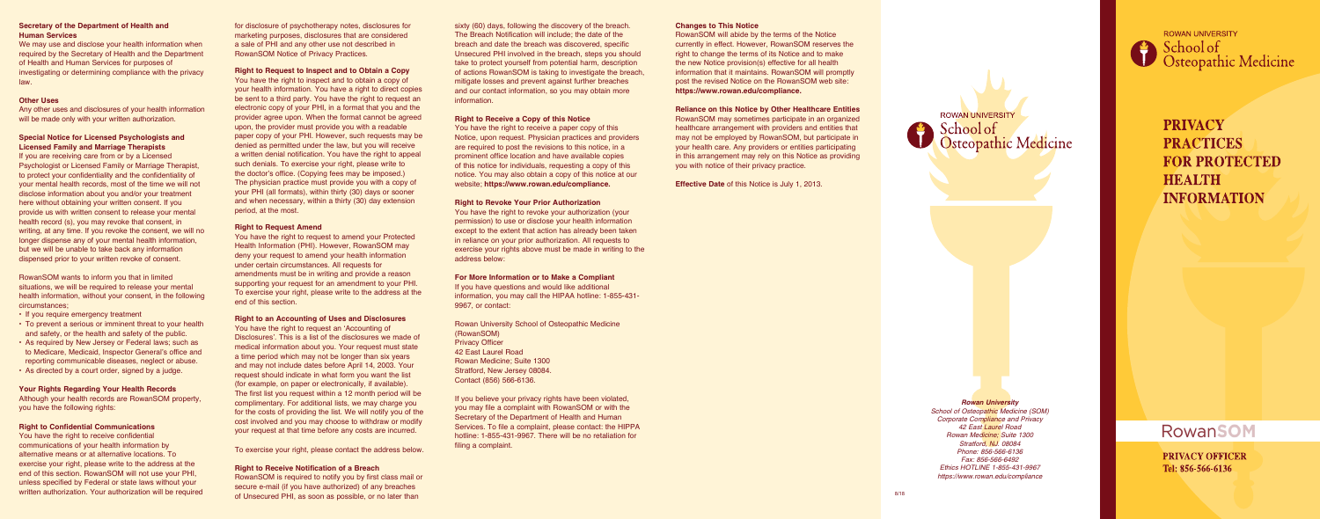*Rowan University School of Osteopathic Medicine (SOM) Corporate Compliance and Privacy 42 East Laurel Road Rowan Medicine; Suite 1300 Stratford, NJ. 08084 Phone: 856-566-6136 Fax: 856-566-6492 Ethics HOTLINE 1-855-431-9967 https://www.rowan.edu/compliance*

**ROWAN UNIVERSITY** School of<br>Osteopathic Medicine

> **PRIVACY PRACTICES FOR PROTECTED HEALTH INFORMATION**

# **RowanSOM**

**PRIVACY OFFICER** Tel: 856-566-6136

Any other uses and disclosures of your health information will be made only with your written authorization.

## **Secretary of the Department of Health and Human Services**

We may use and disclose your health information when required by the Secretary of Health and the Department of Health and Human Services for purposes of investigating or determining compliance with the privacy law.

#### **Other Uses**

# **Special Notice for Licensed Psychologists and Licensed Family and Marriage Therapists**

If you are receiving care from or by a Licensed Psychologist or Licensed Family or Marriage Therapist, to protect your confidentiality and the confidentiality of your mental health records, most of the time we will not disclose information about you and/or your treatment here without obtaining your written consent. If you provide us with written consent to release your mental health record (s), you may revoke that consent, in writing, at any time. If you revoke the consent, we will no longer dispense any of your mental health information, but we will be unable to take back any information dispensed prior to your written revoke of consent.

RowanSOM wants to inform you that in limited situations, we will be required to release your mental health information, without your consent, in the following circumstances;

- If you require emergency treatment
- To prevent a serious or imminent threat to your health and safety, or the health and safety of the public.
- As required by New Jersey or Federal laws; such as to Medicare, Medicaid, Inspector General's office and reporting communicable diseases, neglect or abuse.
- As directed by a court order, signed by a judge.

#### **Your Rights Regarding Your Health Records**

Although your health records are RowanSOM property, you have the following rights:

#### **Right to Confidential Communications**

You have the right to receive confidential communications of your health information by alternative means or at alternative locations. To exercise your right, please write to the address at the end of this section. RowanSOM will not use your PHI, unless specified by Federal or state laws without your written authorization. Your authorization will be required for disclosure of psychotherapy notes, disclosures for marketing purposes, disclosures that are considered a sale of PHI and any other use not described in RowanSOM Notice of Privacy Practices.

#### **Right to Request to Inspect and to Obtain a Copy**

You have the right to inspect and to obtain a copy of your health information. You have a right to direct copies be sent to a third party. You have the right to request an electronic copy of your PHI, in a format that you and the provider agree upon. When the format cannot be agreed upon, the provider must provide you with a readable paper copy of your PHI. However, such requests may be denied as permitted under the law, but you will receive a written denial notification. You have the right to appeal such denials. To exercise your right, please write to the doctor's office. (Copying fees may be imposed.) The physician practice must provide you with a copy of your PHI (all formats), within thirty (30) days or sooner and when necessary, within a thirty (30) day extension period, at the most.

#### **Right to Request Amend**

You have the right to request to amend your Protected Health Information (PHI). However, RowanSOM may deny your request to amend your health information under certain circumstances. All requests for amendments must be in writing and provide a reason supporting your request for an amendment to your PHI. To exercise your right, please write to the address at the end of this section.

#### **Right to an Accounting of Uses and Disclosures**

You have the right to request an 'Accounting of Disclosures'. This is a list of the disclosures we made of medical information about you. Your request must state a time period which may not be longer than six years and may not include dates before April 14, 2003. Your request should indicate in what form you want the list (for example, on paper or electronically, if available). The first list you request within a 12 month period will be complimentary. For additional lists, we may charge you for the costs of providing the list. We will notify you of the cost involved and you may choose to withdraw or modify your request at that time before any costs are incurred.

To exercise your right, please contact the address below.

### **Right to Receive Notification of a Breach**

RowanSOM is required to notify you by first class mail or secure e-mail (if you have authorized) of any breaches of Unsecured PHI, as soon as possible, or no later than

sixty (60) days, following the discovery of the breach. The Breach Notification will include; the date of the breach and date the breach was discovered, specific Unsecured PHI involved in the breach, steps you should take to protect yourself from potential harm, description of actions RowanSOM is taking to investigate the breach, mitigate losses and prevent against further breaches and our contact information, so you may obtain more information.

# **Right to Receive a Copy of this Notice**

You have the right to receive a paper copy of this Notice, upon request. Physician practices and providers are required to post the revisions to this notice, in a prominent office location and have available copies of this notice for individuals, requesting a copy of this notice. You may also obtain a copy of this notice at our website; **https://www.rowan.edu/compliance.**

# **Right to Revoke Your Prior Authorization**

You have the right to revoke your authorization (your permission) to use or disclose your health information except to the extent that action has already been taken in reliance on your prior authorization. All requests to exercise your rights above must be made in writing to the address below:

#### **For More Information or to Make a Compliant**

If you have questions and would like additional information, you may call the HIPAA hotline: 1-855-431- 9967, or contact:

Rowan University School of Osteopathic Medicine (RowanSOM) Privacy Officer 42 East Laurel Road Rowan Medicine; Suite 1300 Stratford, New Jersey 08084. Contact (856) 566-6136.

If you believe your privacy rights have been violated, you may file a complaint with RowanSOM or with the Secretary of the Department of Health and Human Services. To file a complaint, please contact: the HIPPA hotline: 1-855-431-9967. There will be no retaliation for filing a complaint.

### **Changes to This Notice**

RowanSOM will abide by the terms of the Notice currently in effect. However, RowanSOM reserves the right to change the terms of its Notice and to make the new Notice provision(s) effective for all health information that it maintains. RowanSOM will promptly post the revised Notice on the RowanSOM web site: **https://www.rowan.edu/compliance.**

**Reliance on this Notice by Other Healthcare Entities** RowanSOM may sometimes participate in an organized healthcare arrangement with providers and entities that may not be employed by RowanSOM, but participate in your health care. Any providers or entities participating in this arrangement may rely on this Notice as providing you with notice of their privacy practice.

**Effective Date** of this Notice is July 1, 2013.

**ROWAN UNIVERSITY** School of Osteopathic Medicine